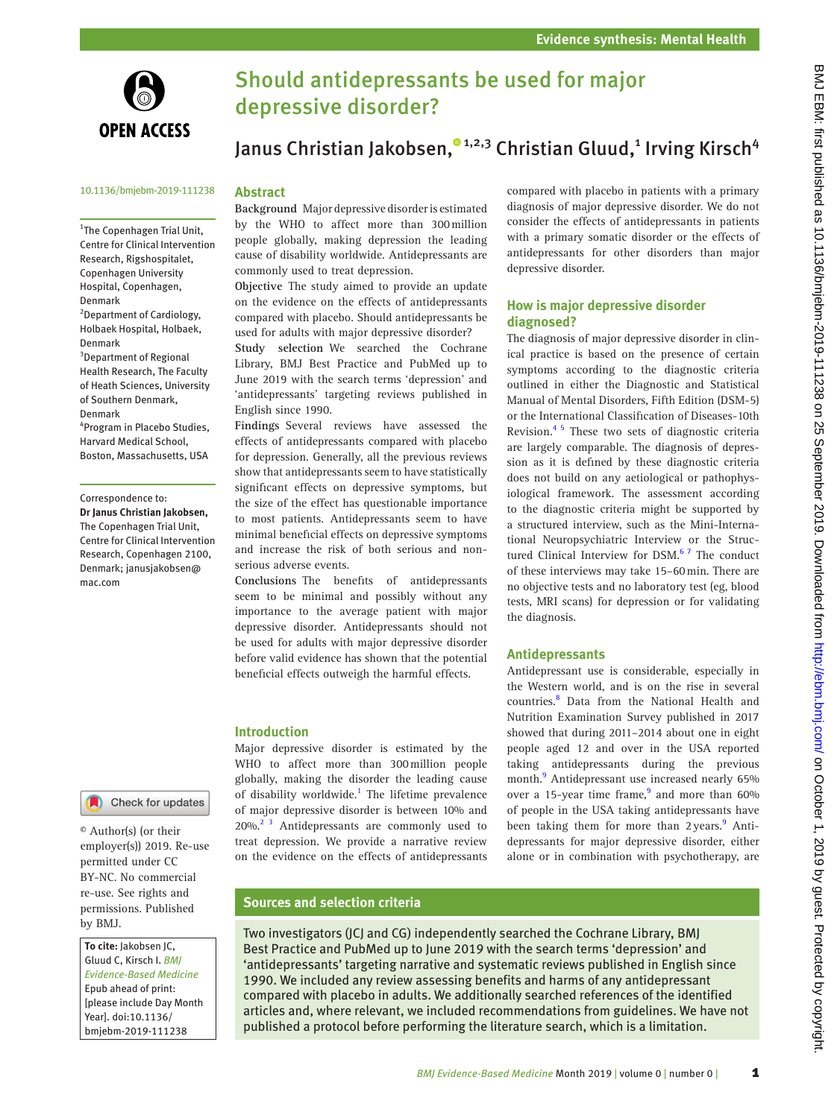

# Should antidepressants be used for major depressive disorder?

# Janus Christian Jakobsen[,](http://orcid.org/0000-0002-3642-2120)®1,2,3 Christian Gluud,1 Irving Kirsch<sup>4</sup>

#### 10.1136/bmjebm-2019-111238

<sup>1</sup>The Copenhagen Trial Unit, Centre for Clinical Intervention Research, Rigshospitalet, Copenhagen University Hospital, Copenhagen, Denmark <sup>2</sup> Department of Cardiology, Holbaek Hospital, Holbaek, Denmark <sup>3</sup>Department of Regional Health Research, The Faculty of Heath Sciences, University of Southern Denmark, Denmark

4 Program in Placebo Studies, Harvard Medical School, Boston, Massachusetts, USA

Correspondence to: *Dr Janus Christian Jakobsen,* The Copenhagen Trial Unit, Centre for Clinical Intervention Research, Copenhagen 2100, Denmark; janusjakobsen@ mac.com



© Author(s) (or their employer(s)) 2019. Re-use permitted under CC BY-NC. No commercial re-use. See rights and permissions. Published by BMJ.

*To cite:* Jakobsen JC, Gluud C, Kirsch I. *BMJ Evidence-Based Medicine* Epub ahead of print: [please include Day Month Year]. doi:10.1136/ bmjebm-2019-111238

#### **Abstract**

**Background** Major depressive disorder is estimated by the WHO to affect more than 300million people globally, making depression the leading cause of disability worldwide. Antidepressants are commonly used to treat depression.

**Objective** The study aimed to provide an update on the evidence on the effects of antidepressants compared with placebo. Should antidepressants be used for adults with major depressive disorder?

**Study selection** We searched the Cochrane Library, BMJ Best Practice and PubMed up to June 2019 with the search terms 'depression' and 'antidepressants' targeting reviews published in English since 1990.

**Findings** Several reviews have assessed the effects of antidepressants compared with placebo for depression. Generally, all the previous reviews show that antidepressants seem to have statistically significant effects on depressive symptoms, but the size of the effect has questionable importance to most patients. Antidepressants seem to have minimal beneficial effects on depressive symptoms and increase the risk of both serious and nonserious adverse events.

**Conclusions** The benefits of antidepressants seem to be minimal and possibly without any importance to the average patient with major depressive disorder. Antidepressants should not be used for adults with major depressive disorder before valid evidence has shown that the potential beneficial effects outweigh the harmful effects.

#### **Introduction**

Major depressive disorder is estimated by the WHO to affect more than 300million people globally, making the disorder the leading cause of disability worldwide.<sup>[1](#page-4-0)</sup> The lifetime prevalence of major depressive disorder is between 10% and 20%.<sup>[2 3](#page-4-1)</sup> Antidepressants are commonly used to treat depression. We provide a narrative review on the evidence on the effects of antidepressants

compared with placebo in patients with a primary diagnosis of major depressive disorder. We do not consider the effects of antidepressants in patients with a primary somatic disorder or the effects of antidepressants for other disorders than major depressive disorder.

## **How is major depressive disorder diagnosed?**

The diagnosis of major depressive disorder in clinical practice is based on the presence of certain symptoms according to the diagnostic criteria outlined in either the Diagnostic and Statistical Manual of Mental Disorders, Fifth Edition (DSM-5) or the International Classification of Diseases-10th Revision[.4 5](#page-4-2) These two sets of diagnostic criteria are largely comparable. The diagnosis of depression as it is defined by these diagnostic criteria does not build on any aetiological or pathophysiological framework. The assessment according to the diagnostic criteria might be supported by a structured interview, such as the Mini-International Neuropsychiatric Interview or the Structured Clinical Interview for DSM.<sup>67</sup> The conduct of these interviews may take 15–60min. There are no objective tests and no laboratory test (eg, blood tests, MRI scans) for depression or for validating the diagnosis.

#### **Antidepressants**

Antidepressant use is considerable, especially in the Western world, and is on the rise in several countries.<sup>8</sup> Data from the National Health and Nutrition Examination Survey published in 2017 showed that during 2011–2014 about one in eight people aged 12 and over in the USA reported taking antidepressants during the previous month.<sup>[9](#page-4-5)</sup> Antidepressant use increased nearly 65% over a 15-year time frame,<sup>[9](#page-4-5)</sup> and more than 60% of people in the USA taking antidepressants have been taking them for more than 2 years.<sup>9</sup> Antidepressants for major depressive disorder, either alone or in combination with psychotherapy, are

## **Sources and selection criteria**

Two investigators (JCJ and CG) independently searched the Cochrane Library, BMJ Best Practice and PubMed up to June 2019 with the search terms 'depression' and 'antidepressants' targeting narrative and systematic reviews published in English since 1990. We included any review assessing benefits and harms of any antidepressant compared with placebo in adults. We additionally searched references of the identified articles and, where relevant, we included recommendations from guidelines. We have not published a protocol before performing the literature search, which is a limitation.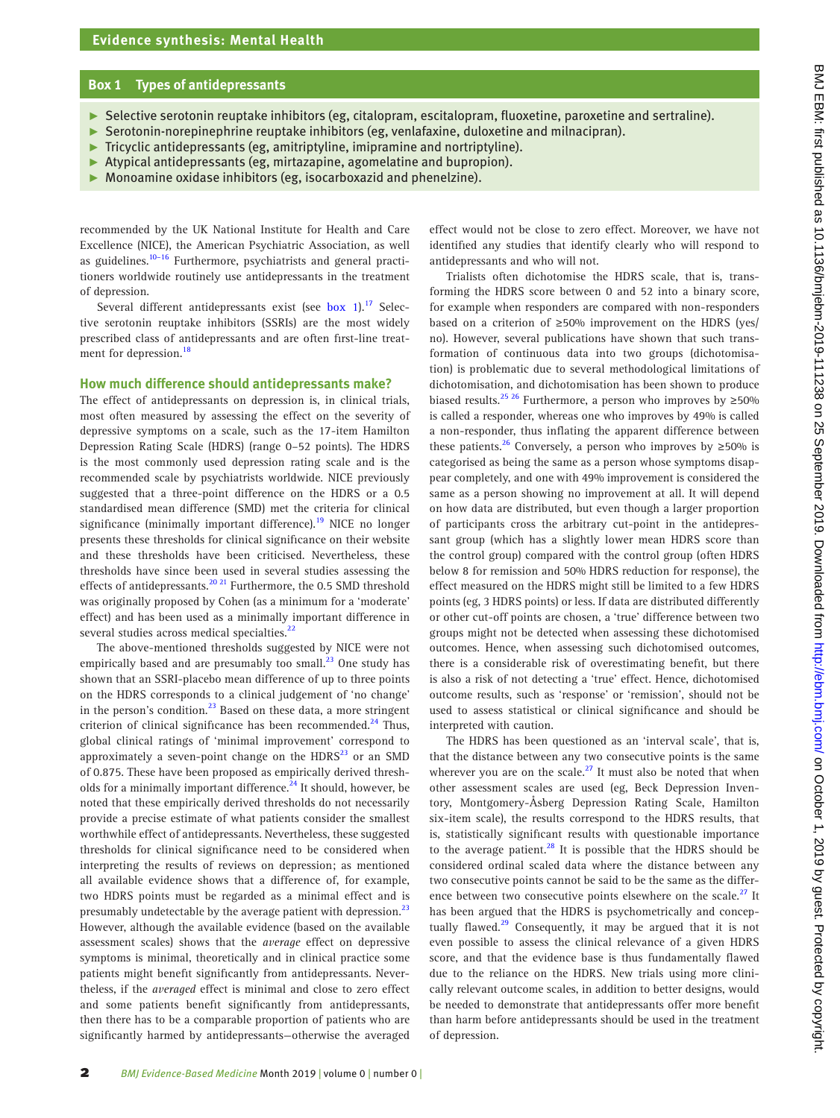### **Box 1 Types of antidepressants**

- <span id="page-1-0"></span>► Selective serotonin reuptake inhibitors (eg, citalopram, escitalopram, fluoxetine, paroxetine and sertraline).
- ► Serotonin-norepinephrine reuptake inhibitors (eg, venlafaxine, duloxetine and milnacipran).
- $\blacktriangleright$  Tricyclic antidepressants (eg, amitriptyline, imipramine and nortriptyline).
- ► Atypical antidepressants (eg, mirtazapine, agomelatine and bupropion).
- Monoamine oxidase inhibitors (eg, isocarboxazid and phenelzine).

recommended by the UK National Institute for Health and Care Excellence (NICE), the American Psychiatric Association, as well as guidelines. $10-16$  Furthermore, psychiatrists and general practitioners worldwide routinely use antidepressants in the treatment of depression.

Several different antidepressants exist (see box 1).<sup>[17](#page-4-7)</sup> Selective serotonin reuptake inhibitors (SSRIs) are the most widely prescribed class of antidepressants and are often first-line treat-ment for depression.<sup>[18](#page-4-8)</sup>

#### **How much difference should antidepressants make?**

The effect of antidepressants on depression is, in clinical trials, most often measured by assessing the effect on the severity of depressive symptoms on a scale, such as the 17-item Hamilton Depression Rating Scale (HDRS) (range 0–52 points). The HDRS is the most commonly used depression rating scale and is the recommended scale by psychiatrists worldwide. NICE previously suggested that a three-point difference on the HDRS or a 0.5 standardised mean difference (SMD) met the criteria for clinical significance (minimally important difference).<sup>19</sup> NICE no longer presents these thresholds for clinical significance on their website and these thresholds have been criticised. Nevertheless, these thresholds have since been used in several studies assessing the effects of antidepressants.<sup>[20 21](#page-4-10)</sup> Furthermore, the 0.5 SMD threshold was originally proposed by Cohen (as a minimum for a 'moderate' effect) and has been used as a minimally important difference in several studies across medical specialties.<sup>[22](#page-5-0)</sup>

The above-mentioned thresholds suggested by NICE were not empirically based and are presumably too small.<sup>23</sup> One study has shown that an SSRI-placebo mean difference of up to three points on the HDRS corresponds to a clinical judgement of 'no change' in the person's condition.<sup>[23](#page-5-1)</sup> Based on these data, a more stringent criterion of clinical significance has been recommended. $^{24}$  $^{24}$  $^{24}$  Thus, global clinical ratings of 'minimal improvement' correspond to approximately a seven-point change on the  $HDRS<sup>23</sup>$  or an SMD of 0.875. These have been proposed as empirically derived thresholds for a minimally important difference.<sup>24</sup> It should, however, be noted that these empirically derived thresholds do not necessarily provide a precise estimate of what patients consider the smallest worthwhile effect of antidepressants. Nevertheless, these suggested thresholds for clinical significance need to be considered when interpreting the results of reviews on depression; as mentioned all available evidence shows that a difference of, for example, two HDRS points must be regarded as a minimal effect and is presumably undetectable by the average patient with depression. $^{23}$  $^{23}$  $^{23}$ However, although the available evidence (based on the available assessment scales) shows that the *average* effect on depressive symptoms is minimal, theoretically and in clinical practice some patients might benefit significantly from antidepressants. Nevertheless, if the *averaged* effect is minimal and close to zero effect and some patients benefit significantly from antidepressants, then there has to be a comparable proportion of patients who are significantly harmed by antidepressants—otherwise the averaged

effect would not be close to zero effect. Moreover, we have not identified any studies that identify clearly who will respond to antidepressants and who will not.

Trialists often dichotomise the HDRS scale, that is, transforming the HDRS score between 0 and 52 into a binary score, for example when responders are compared with non-responders based on a criterion of ≥50% improvement on the HDRS (yes/ no). However, several publications have shown that such transformation of continuous data into two groups (dichotomisation) is problematic due to several methodological limitations of dichotomisation, and dichotomisation has been shown to produce biased results.<sup>[25 26](#page-5-3)</sup> Furthermore, a person who improves by ≥50% is called a responder, whereas one who improves by 49% is called a non-responder, thus inflating the apparent difference between these patients.<sup>26</sup> Conversely, a person who improves by  $\geq 50\%$  is categorised as being the same as a person whose symptoms disappear completely, and one with 49% improvement is considered the same as a person showing no improvement at all. It will depend on how data are distributed, but even though a larger proportion of participants cross the arbitrary cut-point in the antidepressant group (which has a slightly lower mean HDRS score than the control group) compared with the control group (often HDRS below 8 for remission and 50% HDRS reduction for response), the effect measured on the HDRS might still be limited to a few HDRS points (eg, 3 HDRS points) or less. If data are distributed differently or other cut-off points are chosen, a 'true' difference between two groups might not be detected when assessing these dichotomised outcomes. Hence, when assessing such dichotomised outcomes, there is a considerable risk of overestimating benefit, but there is also a risk of not detecting a 'true' effect. Hence, dichotomised outcome results, such as 'response' or 'remission', should not be used to assess statistical or clinical significance and should be interpreted with caution.

The HDRS has been questioned as an 'interval scale', that is, that the distance between any two consecutive points is the same wherever you are on the scale. $^{27}$  It must also be noted that when other assessment scales are used (eg, Beck Depression Inventory, Montgomery-Åsberg Depression Rating Scale, Hamilton six-item scale), the results correspond to the HDRS results, that is, statistically significant results with questionable importance to the average patient. $^{28}$  It is possible that the HDRS should be considered ordinal scaled data where the distance between any two consecutive points cannot be said to be the same as the differ-ence between two consecutive points elsewhere on the scale.<sup>[27](#page-5-5)</sup> It has been argued that the HDRS is psychometrically and conceptually flawed. $29$  Consequently, it may be argued that it is not even possible to assess the clinical relevance of a given HDRS score, and that the evidence base is thus fundamentally flawed due to the reliance on the HDRS. New trials using more clinically relevant outcome scales, in addition to better designs, would be needed to demonstrate that antidepressants offer more benefit than harm before antidepressants should be used in the treatment of depression.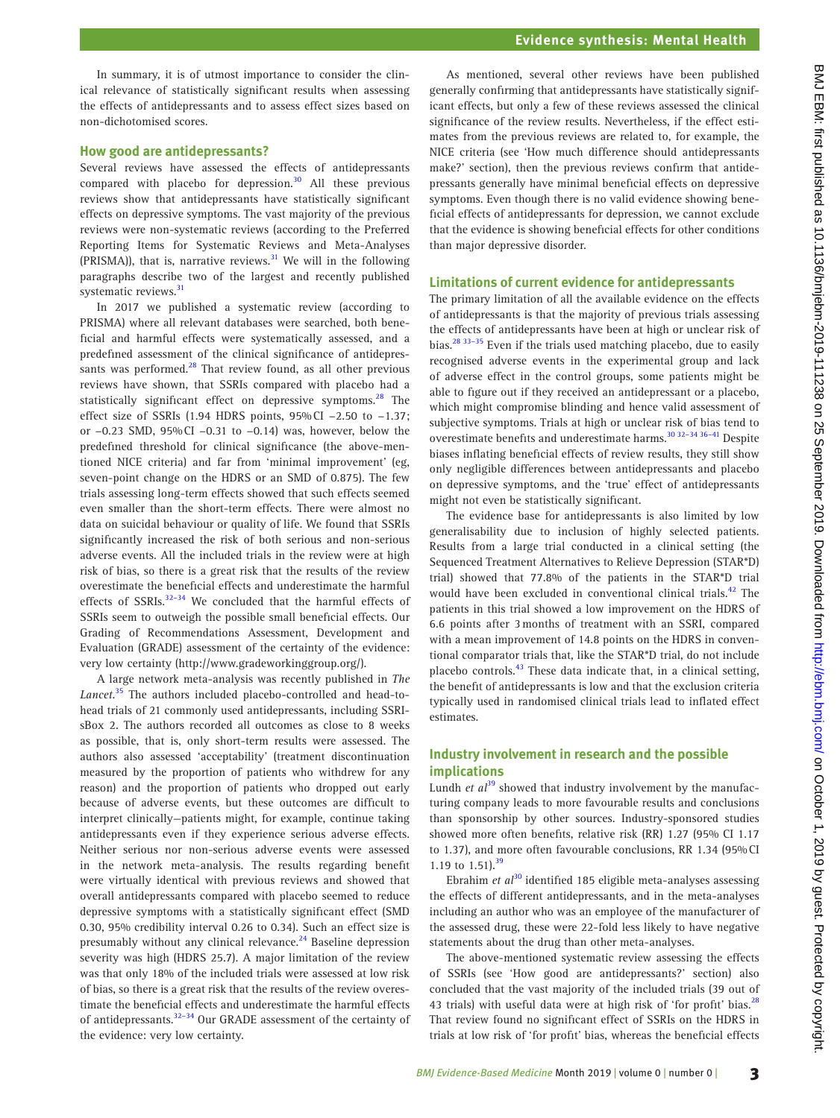In summary, it is of utmost importance to consider the clinical relevance of statistically significant results when assessing the effects of antidepressants and to assess effect sizes based on non-dichotomised scores.

## **How good are antidepressants?**

Several reviews have assessed the effects of antidepressants compared with placebo for depression. $30$  All these previous reviews show that antidepressants have statistically significant effects on depressive symptoms. The vast majority of the previous reviews were non-systematic reviews (according to the Preferred Reporting Items for Systematic Reviews and Meta-Analyses (PRISMA)), that is, narrative reviews. $31$  We will in the following paragraphs describe two of the largest and recently published systematic reviews.<sup>31</sup>

In 2017 we published a systematic review (according to PRISMA) where all relevant databases were searched, both beneficial and harmful effects were systematically assessed, and a predefined assessment of the clinical significance of antidepressants was performed. $^{28}$  That review found, as all other previous reviews have shown, that SSRIs compared with placebo had a statistically significant effect on depressive symptoms.<sup>[28](#page-5-6)</sup> The effect size of SSRIs (1.94 HDRS points, 95%CI −2.50 to −1.37; or −0.23 SMD, 95%CI −0.31 to −0.14) was, however, below the predefined threshold for clinical significance (the above-mentioned NICE criteria) and far from 'minimal improvement' (eg, seven-point change on the HDRS or an SMD of 0.875). The few trials assessing long-term effects showed that such effects seemed even smaller than the short-term effects. There were almost no data on suicidal behaviour or quality of life. We found that SSRIs significantly increased the risk of both serious and non-serious adverse events. All the included trials in the review were at high risk of bias, so there is a great risk that the results of the review overestimate the beneficial effects and underestimate the harmful effects of SSRIs. $32-34$  We concluded that the harmful effects of SSRIs seem to outweigh the possible small beneficial effects. Our Grading of Recommendations Assessment, Development and Evaluation (GRADE) assessment of the certainty of the evidence: very low certainty ([http://www.gradeworkinggroup.org/\)](http://www.gradeworkinggroup.org/).

A large network meta-analysis was recently published in *The Lancet*. [35](#page-5-11) The authors included placebo-controlled and head-tohead trials of 21 commonly used antidepressants, including SSRIsBox 2. The authors recorded all outcomes as close to 8 weeks as possible, that is, only short-term results were assessed. The authors also assessed 'acceptability' (treatment discontinuation measured by the proportion of patients who withdrew for any reason) and the proportion of patients who dropped out early because of adverse events, but these outcomes are difficult to interpret clinically—patients might, for example, continue taking antidepressants even if they experience serious adverse effects. Neither serious nor non-serious adverse events were assessed in the network meta-analysis. The results regarding benefit were virtually identical with previous reviews and showed that overall antidepressants compared with placebo seemed to reduce depressive symptoms with a statistically significant effect (SMD 0.30, 95% credibility interval 0.26 to 0.34). Such an effect size is presumably without any clinical relevance.<sup>24</sup> Baseline depression severity was high (HDRS 25.7). A major limitation of the review was that only 18% of the included trials were assessed at low risk of bias, so there is a great risk that the results of the review overestimate the beneficial effects and underestimate the harmful effects of antidepressants[.32–34](#page-5-10) Our GRADE assessment of the certainty of the evidence: very low certainty.

As mentioned, several other reviews have been published generally confirming that antidepressants have statistically significant effects, but only a few of these reviews assessed the clinical significance of the review results. Nevertheless, if the effect estimates from the previous reviews are related to, for example, the NICE criteria (see 'How much difference should antidepressants make?' section), then the previous reviews confirm that antidepressants generally have minimal beneficial effects on depressive symptoms. Even though there is no valid evidence showing beneficial effects of antidepressants for depression, we cannot exclude that the evidence is showing beneficial effects for other conditions than major depressive disorder.

## **Limitations of current evidence for antidepressants**

The primary limitation of all the available evidence on the effects of antidepressants is that the majority of previous trials assessing the effects of antidepressants have been at high or unclear risk of bias.<sup>28 33-35</sup> Even if the trials used matching placebo, due to easily recognised adverse events in the experimental group and lack of adverse effect in the control groups, some patients might be able to figure out if they received an antidepressant or a placebo, which might compromise blinding and hence valid assessment of subjective symptoms. Trials at high or unclear risk of bias tend to overestimate benefits and underestimate harms.<sup>30 32-34 36-41</sup> Despite biases inflating beneficial effects of review results, they still show only negligible differences between antidepressants and placebo on depressive symptoms, and the 'true' effect of antidepressants might not even be statistically significant.

The evidence base for antidepressants is also limited by low generalisability due to inclusion of highly selected patients. Results from a large trial conducted in a clinical setting (the Sequenced Treatment Alternatives to Relieve Depression (STAR\*D) trial) showed that 77.8% of the patients in the STAR\*D trial would have been excluded in conventional clinical trials.<sup>[42](#page-5-12)</sup> The patients in this trial showed a low improvement on the HDRS of 6.6 points after 3months of treatment with an SSRI, compared with a mean improvement of 14.8 points on the HDRS in conventional comparator trials that, like the STAR\*D trial, do not include placebo controls. $43$  These data indicate that, in a clinical setting, the benefit of antidepressants is low and that the exclusion criteria typically used in randomised clinical trials lead to inflated effect estimates.

## **Industry involvement in research and the possible implications**

Lundh *et al*<sup>[39](#page-5-14)</sup> showed that industry involvement by the manufacturing company leads to more favourable results and conclusions than sponsorship by other sources. Industry-sponsored studies showed more often benefits, relative risk (RR) 1.27 (95% CI 1.17 to 1.37), and more often favourable conclusions, RR 1.34 (95%CI 1.19 to 1.51).<sup>39</sup>

Ebrahim *et al*[30](#page-5-8) identified 185 eligible meta-analyses assessing the effects of different antidepressants, and in the meta-analyses including an author who was an employee of the manufacturer of the assessed drug, these were 22-fold less likely to have negative statements about the drug than other meta-analyses.

The above-mentioned systematic review assessing the effects of SSRIs (see 'How good are antidepressants?' section) also concluded that the vast majority of the included trials (39 out of 43 trials) with useful data were at high risk of 'for profit' bias.<sup>[28](#page-5-6)</sup> That review found no significant effect of SSRIs on the HDRS in trials at low risk of 'for profit' bias, whereas the beneficial effects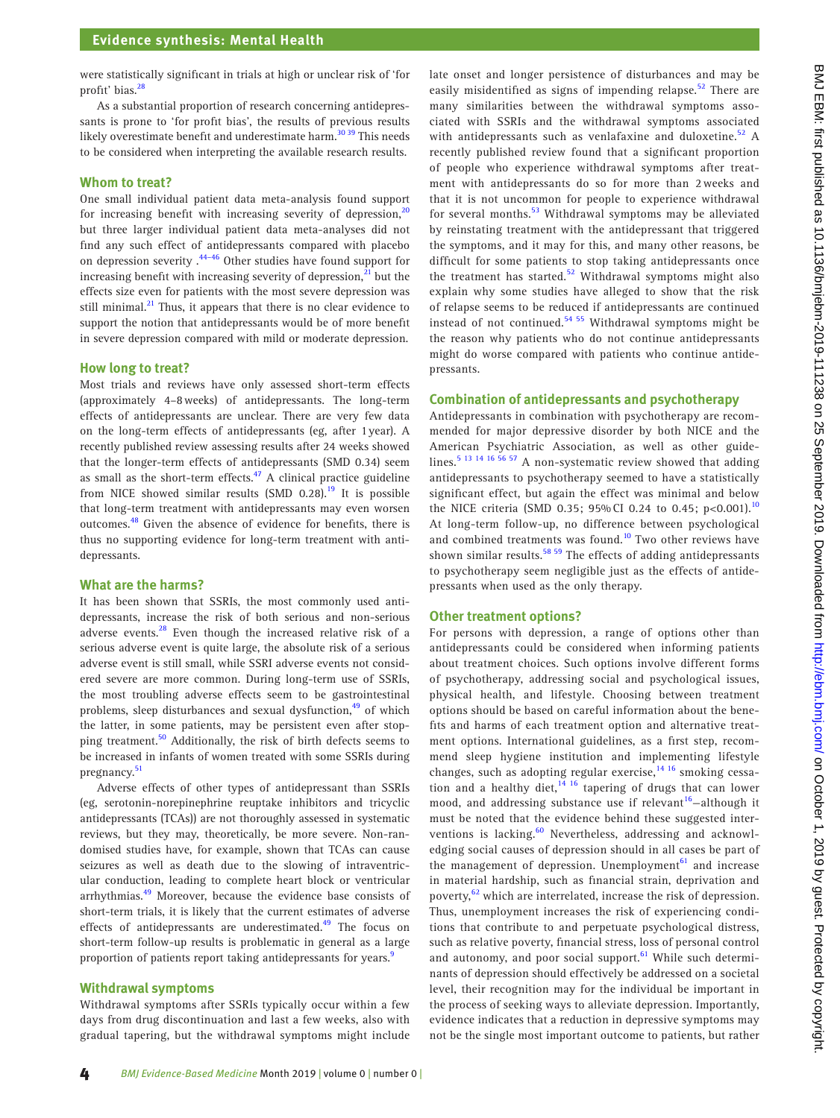were statistically significant in trials at high or unclear risk of 'for profit' bias. $^{28}$ 

As a substantial proportion of research concerning antidepressants is prone to 'for profit bias', the results of previous results likely overestimate benefit and underestimate harm.<sup>30</sup> 39 This needs to be considered when interpreting the available research results.

#### **Whom to treat?**

One small individual patient data meta-analysis found support for increasing benefit with increasing severity of depression, $20$ but three larger individual patient data meta-analyses did not find any such effect of antidepressants compared with placebo on depression severity .[44–46](#page-5-15) Other studies have found support for increasing benefit with increasing severity of depression, $21$  but the effects size even for patients with the most severe depression was still minimal. $^{21}$  Thus, it appears that there is no clear evidence to support the notion that antidepressants would be of more benefit in severe depression compared with mild or moderate depression.

#### **How long to treat?**

Most trials and reviews have only assessed short-term effects (approximately 4–8weeks) of antidepressants. The long-term effects of antidepressants are unclear. There are very few data on the long-term effects of antidepressants (eg, after 1year). A recently published review assessing results after 24 weeks showed that the longer-term effects of antidepressants (SMD 0.34) seem as small as the short-term effects. $47$  A clinical practice guideline from NICE showed similar results  $(SMD 0.28).$ <sup>19</sup> It is possible that long-term treatment with antidepressants may even worsen outcomes.<sup>[48](#page-5-17)</sup> Given the absence of evidence for benefits, there is thus no supporting evidence for long-term treatment with antidepressants.

#### **What are the harms?**

It has been shown that SSRIs, the most commonly used antidepressants, increase the risk of both serious and non-serious adverse events.<sup>[28](#page-5-6)</sup> Even though the increased relative risk of a serious adverse event is quite large, the absolute risk of a serious adverse event is still small, while SSRI adverse events not considered severe are more common. During long-term use of SSRIs, the most troubling adverse effects seem to be gastrointestinal problems, sleep disturbances and sexual dysfunction,<sup>49</sup> of which the latter, in some patients, may be persistent even after stopping treatment.<sup>50</sup> Additionally, the risk of birth defects seems to be increased in infants of women treated with some SSRIs during pregnancy.<sup>[51](#page-5-20)</sup>

Adverse effects of other types of antidepressant than SSRIs (eg, serotonin-norepinephrine reuptake inhibitors and tricyclic antidepressants (TCAs)) are not thoroughly assessed in systematic reviews, but they may, theoretically, be more severe. Non-randomised studies have, for example, shown that TCAs can cause seizures as well as death due to the slowing of intraventricular conduction, leading to complete heart block or ventricular arrhythmias.<sup>[49](#page-5-18)</sup> Moreover, because the evidence base consists of short-term trials, it is likely that the current estimates of adverse effects of antidepressants are underestimated.<sup>49</sup> The focus on short-term follow-up results is problematic in general as a large proportion of patients report taking antidepressants for years.<sup>[9](#page-4-5)</sup>

#### **Withdrawal symptoms**

Withdrawal symptoms after SSRIs typically occur within a few days from drug discontinuation and last a few weeks, also with gradual tapering, but the withdrawal symptoms might include late onset and longer persistence of disturbances and may be easily misidentified as signs of impending relapse.<sup>52</sup> There are many similarities between the withdrawal symptoms associated with SSRIs and the withdrawal symptoms associated with antidepressants such as venlafaxine and duloxetine.<sup>52</sup> A recently published review found that a significant proportion of people who experience withdrawal symptoms after treatment with antidepressants do so for more than 2 weeks and that it is not uncommon for people to experience withdrawal for several months.<sup>53</sup> Withdrawal symptoms may be alleviated by reinstating treatment with the antidepressant that triggered the symptoms, and it may for this, and many other reasons, be difficult for some patients to stop taking antidepressants once the treatment has started.<sup>52</sup> Withdrawal symptoms might also explain why some studies have alleged to show that the risk of relapse seems to be reduced if antidepressants are continued instead of not continued.<sup>54 55</sup> Withdrawal symptoms might be the reason why patients who do not continue antidepressants might do worse compared with patients who continue antidepressants.

#### **Combination of antidepressants and psychotherapy**

Antidepressants in combination with psychotherapy are recommended for major depressive disorder by both NICE and the American Psychiatric Association, as well as other guide-lines.<sup>[5 13 14 16 56 57](#page-4-12)</sup> A non-systematic review showed that adding antidepressants to psychotherapy seemed to have a statistically significant effect, but again the effect was minimal and below the NICE criteria (SMD 0.35; 95% CI 0.24 to 0.45; p<0.001).<sup>[10](#page-4-6)</sup> At long-term follow-up, no difference between psychological and combined treatments was found.<sup>10</sup> Two other reviews have shown similar results. $58\frac{59}{2}$  The effects of adding antidepressants to psychotherapy seem negligible just as the effects of antidepressants when used as the only therapy.

#### **Other treatment options?**

For persons with depression, a range of options other than antidepressants could be considered when informing patients about treatment choices. Such options involve different forms of psychotherapy, addressing social and psychological issues, physical health, and lifestyle. Choosing between treatment options should be based on careful information about the benefits and harms of each treatment option and alternative treatment options. International guidelines, as a first step, recommend sleep hygiene institution and implementing lifestyle changes, such as adopting regular exercise, $14^{16}$  smoking cessation and a healthy diet, $14 \times 16$  tapering of drugs that can lower mood, and addressing substance use if relevant<sup>[16](#page-4-14)</sup>-although it must be noted that the evidence behind these suggested interventions is lacking.<sup>60</sup> Nevertheless, addressing and acknowledging social causes of depression should in all cases be part of the management of depression. Unemployment<sup>61</sup> and increase in material hardship, such as financial strain, deprivation and poverty,<sup>[62](#page-5-27)</sup> which are interrelated, increase the risk of depression. Thus, unemployment increases the risk of experiencing conditions that contribute to and perpetuate psychological distress, such as relative poverty, financial stress, loss of personal control and autonomy, and poor social support. $61$  While such determinants of depression should effectively be addressed on a societal level, their recognition may for the individual be important in the process of seeking ways to alleviate depression. Importantly, evidence indicates that a reduction in depressive symptoms may not be the single most important outcome to patients, but rather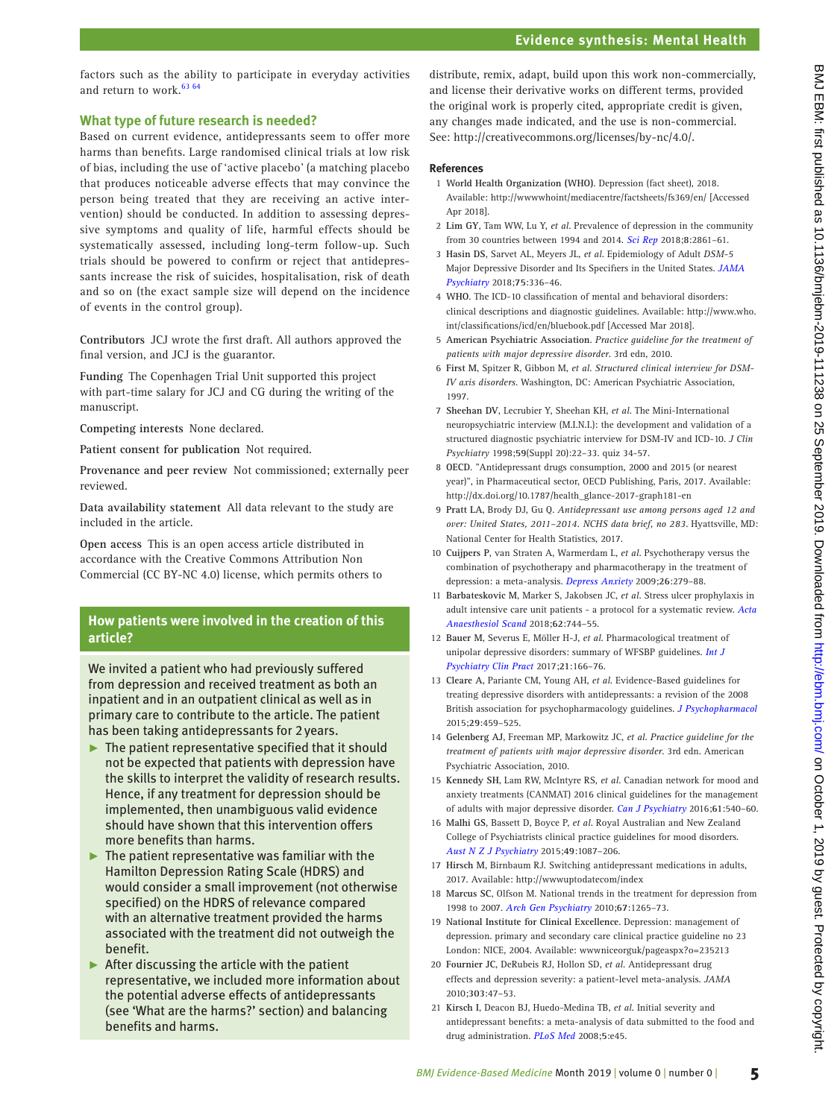# **Evidence synthesis: Mental Health**

factors such as the ability to participate in everyday activities and return to work.<sup>[63 64](#page-5-28)</sup>

# **What type of future research is needed?**

Based on current evidence, antidepressants seem to offer more harms than benefits. Large randomised clinical trials at low risk of bias, including the use of 'active placebo' (a matching placebo that produces noticeable adverse effects that may convince the person being treated that they are receiving an active intervention) should be conducted. In addition to assessing depressive symptoms and quality of life, harmful effects should be systematically assessed, including long-term follow-up. Such trials should be powered to confirm or reject that antidepressants increase the risk of suicides, hospitalisation, risk of death and so on (the exact sample size will depend on the incidence of events in the control group).

**Contributors** JCJ wrote the first draft. All authors approved the final version, and JCJ is the guarantor.

**Funding** The Copenhagen Trial Unit supported this project with part-time salary for JCJ and CG during the writing of the manuscript.

**Competing interests** None declared.

**Patient consent for publication** Not required.

**Provenance and peer review** Not commissioned; externally peer reviewed.

**Data availability statement** All data relevant to the study are included in the article.

**Open access** This is an open access article distributed in accordance with the Creative Commons Attribution Non Commercial (CC BY-NC 4.0) license, which permits others to

# **How patients were involved in the creation of this article?**

We invited a patient who had previously suffered from depression and received treatment as both an inpatient and in an outpatient clinical as well as in primary care to contribute to the article. The patient has been taking antidepressants for 2years.

- $\blacktriangleright$  The patient representative specified that it should not be expected that patients with depression have the skills to interpret the validity of research results. Hence, if any treatment for depression should be implemented, then unambiguous valid evidence should have shown that this intervention offers more benefits than harms.
- $\blacktriangleright$  The patient representative was familiar with the Hamilton Depression Rating Scale (HDRS) and would consider a small improvement (not otherwise specified) on the HDRS of relevance compared with an alternative treatment provided the harms associated with the treatment did not outweigh the benefit.
- $\blacktriangleright$  After discussing the article with the patient representative, we included more information about the potential adverse effects of antidepressants (see 'What are the harms?' section) and balancing benefits and harms.

distribute, remix, adapt, build upon this work non-commercially, and license their derivative works on different terms, provided the original work is properly cited, appropriate credit is given, any changes made indicated, and the use is non-commercial. See: [http://creativecommons.org/licenses/by-nc/4.0/.](http://creativecommons.org/licenses/by-nc/4.0/)

# **References**

- <span id="page-4-0"></span>1 **World Health Organization (WHO)**. Depression (fact sheet), 2018. Available:<http://wwwwhoint/mediacentre/factsheets/fs369/en/> [Accessed Apr 2018].
- <span id="page-4-1"></span>2 **Lim GY**, Tam WW, Lu Y, *et al*. Prevalence of depression in the community from 30 countries between 1994 and 2014. *[Sci Rep](http://dx.doi.org/10.1038/s41598-018-21243-x)* 2018;**8**:2861–61.
- 3 **Hasin DS**, Sarvet AL, Meyers JL, *et al*. Epidemiology of Adult *DSM-5* Major Depressive Disorder and Its Specifiers in the United States. *[JAMA](http://dx.doi.org/10.1001/jamapsychiatry.2017.4602)  [Psychiatry](http://dx.doi.org/10.1001/jamapsychiatry.2017.4602)* 2018;**75**:336–46.
- <span id="page-4-2"></span>4 **WHO**. The ICD-10 classification of mental and behavioral disorders: clinical descriptions and diagnostic guidelines. Available: [http://www.who.](http://www.who.int/classifications/icd/en/bluebook.pdf) [int/classifications/icd/en/bluebook.pdf](http://www.who.int/classifications/icd/en/bluebook.pdf) [Accessed Mar 2018].
- <span id="page-4-12"></span>5 **American Psychiatric Association**. *Practice guideline for the treatment of patients with major depressive disorder*. 3rd edn, 2010.
- <span id="page-4-3"></span>6 **First M**, Spitzer R, Gibbon M, *et al*. *Structured clinical interview for DSM-IV axis disorders*. Washington, DC: American Psychiatric Association, 1997.
- 7 **Sheehan DV**, Lecrubier Y, Sheehan KH, *et al*. The Mini-International neuropsychiatric interview (M.I.N.I.): the development and validation of a structured diagnostic psychiatric interview for DSM-IV and ICD-10. *J Clin Psychiatry* 1998;**59**(Suppl 20):22–33. quiz 34-57.
- <span id="page-4-4"></span>8 **OECD**. "Antidepressant drugs consumption, 2000 and 2015 (or nearest year)", in Pharmaceutical sector, OECD Publishing, Paris, 2017. Available: [http://dx.doi.org/10.1787/health\\_glance-2017-graph181-en](http://dx.doi.org/10.1787/health_glance-2017-graph181-en)
- <span id="page-4-5"></span>9 **Pratt LA**, Brody DJ, Gu Q. *Antidepressant use among persons aged 12 and over: United States, 2011–2014. NCHS data brief, no 283*. Hyattsville, MD: National Center for Health Statistics, 2017.
- <span id="page-4-6"></span>10 **Cuijpers P**, van Straten A, Warmerdam L, *et al*. Psychotherapy versus the combination of psychotherapy and pharmacotherapy in the treatment of depression: a meta-analysis. *[Depress Anxiety](http://dx.doi.org/10.1002/da.20519)* 2009;**26**:279–88.
- 11 **Barbateskovic M**, Marker S, Jakobsen JC, *et al*. Stress ulcer prophylaxis in adult intensive care unit patients - a protocol for a systematic review. *[Acta](http://dx.doi.org/10.1111/aas.13109)  [Anaesthesiol Scand](http://dx.doi.org/10.1111/aas.13109)* 2018;**62**:744–55.
- 12 **Bauer M**, Severus E, Möller H-J, *et al*. Pharmacological treatment of unipolar depressive disorders: summary of WFSBP guidelines. *[Int J](http://dx.doi.org/10.1080/13651501.2017.1306082)  [Psychiatry Clin Pract](http://dx.doi.org/10.1080/13651501.2017.1306082)* 2017;**21**:166–76.
- 13 **Cleare A**, Pariante CM, Young AH, *et al*. Evidence-Based guidelines for treating depressive disorders with antidepressants: a revision of the 2008 British association for psychopharmacology guidelines. *[J Psychopharmacol](http://dx.doi.org/10.1177/0269881115581093)* 2015;**29**:459–525.
- <span id="page-4-13"></span>14 **Gelenberg AJ**, Freeman MP, Markowitz JC, *et al*. *Practice guideline for the treatment of patients with major depressive disorder*. 3rd edn. American Psychiatric Association, 2010.
- 15 **Kennedy SH**, Lam RW, McIntyre RS, *et al*. Canadian network for mood and anxiety treatments (CANMAT) 2016 clinical guidelines for the management of adults with major depressive disorder. *[Can J Psychiatry](http://dx.doi.org/10.1177/0706743716659417)* 2016;**61**:540–60.
- <span id="page-4-14"></span>16 **Malhi GS**, Bassett D, Boyce P, *et al*. Royal Australian and New Zealand College of Psychiatrists clinical practice guidelines for mood disorders. *[Aust N Z J Psychiatry](http://dx.doi.org/10.1177/0004867415617657)* 2015;**49**:1087–206.
- <span id="page-4-7"></span>17 **Hirsch M**, Birnbaum RJ. Switching antidepressant medications in adults, 2017. Available:<http://wwwuptodatecom/index>
- <span id="page-4-8"></span>18 **Marcus SC**, Olfson M. National trends in the treatment for depression from 1998 to 2007. *[Arch Gen Psychiatry](http://dx.doi.org/10.1001/archgenpsychiatry.2010.151)* 2010;**67**:1265–73.
- <span id="page-4-9"></span>19 **National Institute for Clinical Excellence**. Depression: management of depression. primary and secondary care clinical practice guideline no 23 London: NICE, 2004. Available:<wwwniceorguk/pageaspx?o=235213>
- <span id="page-4-10"></span>20 **Fournier JC**, DeRubeis RJ, Hollon SD, *et al*. Antidepressant drug effects and depression severity: a patient-level meta-analysis. *JAMA* 2010;**303**:47–53.
- <span id="page-4-11"></span>21 **Kirsch I**, Deacon BJ, Huedo-Medina TB, *et al*. Initial severity and antidepressant benefits: a meta-analysis of data submitted to the food and drug administration. *[PLoS Med](http://dx.doi.org/10.1371/journal.pmed.0050045)* 2008;**5**:e45.